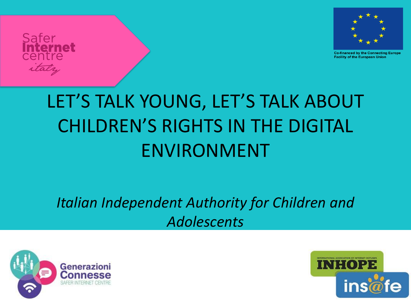

**Co-financed by the Connecting Europe Facility of the European Union** 

### *Italian Independent Authority for Children and Adolescents*



Safer

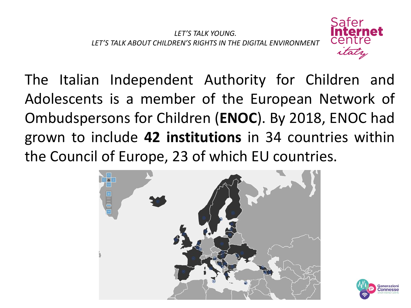

The Italian Independent Authority for Children and Adolescents is a member of the European Network of Ombudspersons for Children (**ENOC**). By 2018, ENOC had grown to include **42 institutions** in 34 countries within the Council of Europe, 23 of which EU countries.



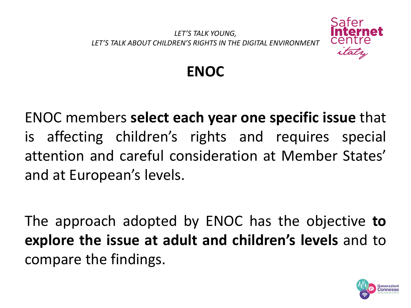

**ENOC**

ENOC members **select each year one specific issue** that is affecting children's rights and requires special attention and careful consideration at Member States' and at European's levels.

The approach adopted by ENOC has the objective **to explore the issue at adult and children's levels** and to compare the findings.

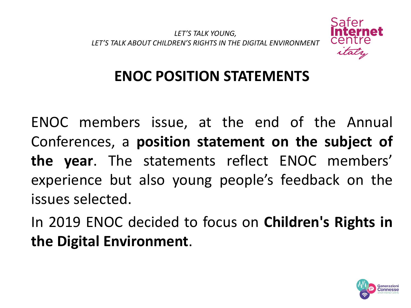

### **ENOC POSITION STATEMENTS**

ENOC members issue, at the end of the Annual Conferences, a **position statement on the subject of the year**. The statements reflect ENOC members' experience but also young people's feedback on the issues selected.

In 2019 ENOC decided to focus on **Children's Rights in the Digital Environment**.

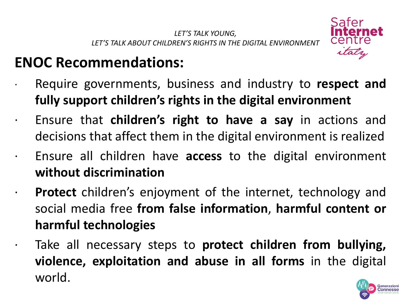

### **ENOC Recommendations:**

- · Require governments, business and industry to **respect and fully support children's rights in the digital environment**
- · Ensure that **children's right to have a say** in actions and decisions that affect them in the digital environment is realized
	- Ensure all children have **access** to the digital environment **without discrimination**
- · **Protect** children's enjoyment of the internet, technology and social media free **from false information**, **harmful content or harmful technologies**

· Take all necessary steps to **protect children from bullying, violence, exploitation and abuse in all forms** in the digital world.

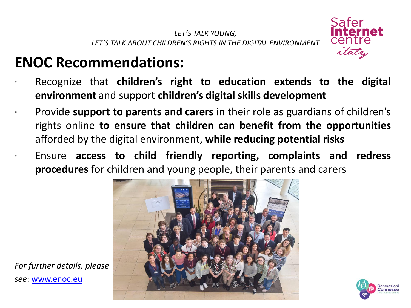

### **ENOC Recommendations:**

- · Recognize that **children's right to education extends to the digital environment** and support **children's digital skills development**
- · Provide **support to parents and carers** in their role as guardians of children's rights online **to ensure that children can benefit from the opportunities** afforded by the digital environment, **while reducing potential risks**
	- · Ensure **access to child friendly reporting, complaints and redress procedures** for children and young people, their parents and carers





*For further details, please see*: [www.enoc.eu](http://www.enoc.eu/)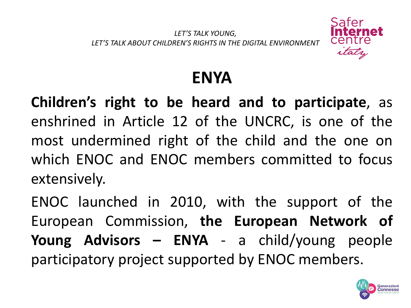

### **ENYA**

**Children's right to be heard and to participate**, as enshrined in Article 12 of the UNCRC, is one of the most undermined right of the child and the one on which ENOC and ENOC members committed to focus extensively.

ENOC launched in 2010, with the support of the European Commission, **the European Network of Young Advisors – ENYA** - a child/young people participatory project supported by ENOC members.

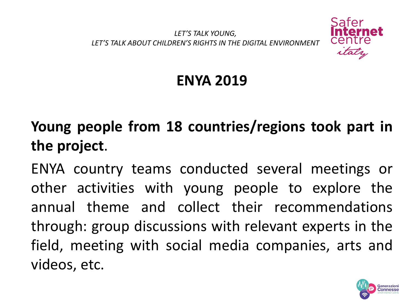

### **ENYA 2019**

# **Young people from 18 countries/regions took part in the project**.

ENYA country teams conducted several meetings or other activities with young people to explore the annual theme and collect their recommendations through: group discussions with relevant experts in the field, meeting with social media companies, arts and videos, etc.

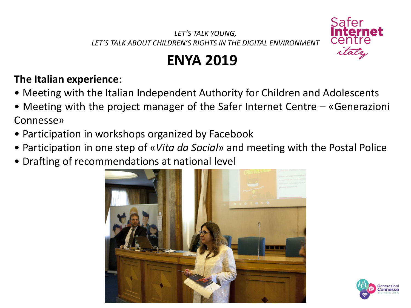

### **ENYA 2019**

### **The Italian experience**:

- Meeting with the Italian Independent Authority for Children and Adolescents
- Meeting with the project manager of the Safer Internet Centre «Generazioni Connesse»
- Participation in workshops organized by Facebook
- Participation in one step of «*Vita da Social*» and meeting with the Postal Police
- Drafting of recommendations at national level



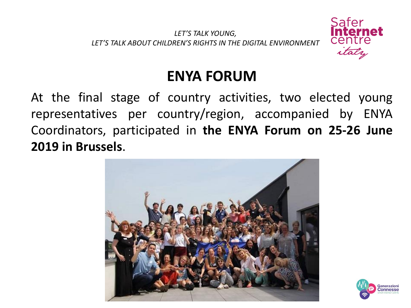

### **ENYA FORUM**

At the final stage of country activities, two elected young representatives per country/region, accompanied by ENYA Coordinators, participated in **the ENYA Forum on 25-26 June 2019 in Brussels**.



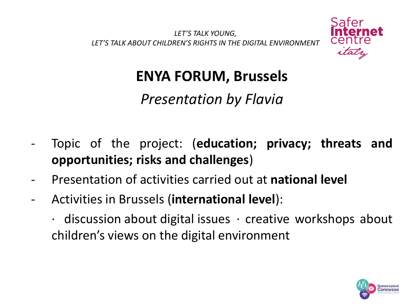

### **ENYA FORUM, Brussels**

*Presentation by Flavia*

- Topic of the project: (**education; privacy; threats and opportunities; risks and challenges**)
- Presentation of activities carried out at **national level**
- Activities in Brussels (**international level**):
	- $\cdot$  discussion about digital issues  $\cdot$  creative workshops about children's views on the digital environment

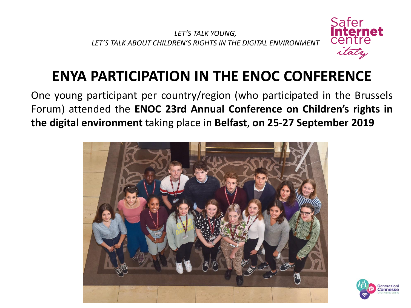

### **ENYA PARTICIPATION IN THE ENOC CONFERENCE**

One young participant per country/region (who participated in the Brussels Forum) attended the **ENOC 23rd Annual Conference on Children's rights in the digital environment** taking place in **Belfast**, **on 25-27 September 2019**



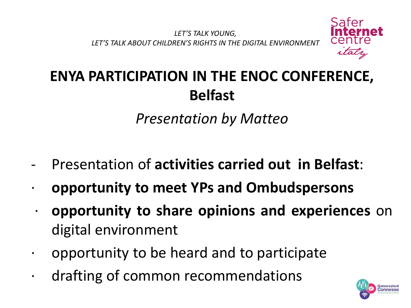

## **ENYA PARTICIPATION IN THE ENOC CONFERENCE, Belfast**

*Presentation by Matteo*

- Presentation of **activities carried out in Belfast**:
- · **opportunity to meet YPs and Ombudspersons**
- · **opportunity to share opinions and experiences** on digital environment
- · opportunity to be heard and to participate
- · drafting of common recommendations

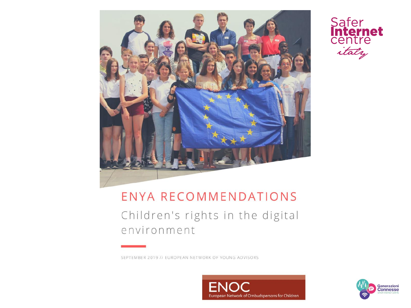



### ENYA RECOMMENDATIONS

Children's rights in the digital environment

SEPTEMBER 2019 // EUROPEAN NETWORK OF YOUNG ADVISORS



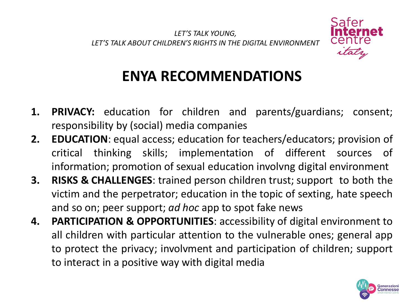

### **ENYA RECOMMENDATIONS**

- **1. PRIVACY:** education for children and parents/guardians; consent; responsibility by (social) media companies
- **2. EDUCATION**: equal access; education for teachers/educators; provision of critical thinking skills; implementation of different sources of information; promotion of sexual education involvng digital environment
- **3. RISKS & CHALLENGES**: trained person children trust; support to both the victim and the perpetrator; education in the topic of sexting, hate speech and so on; peer support; *ad hoc* app to spot fake news
- **4. PARTICIPATION & OPPORTUNITIES**: accessibility of digital environment to all children with particular attention to the vulnerable ones; general app to protect the privacy; involvment and participation of children; support to interact in a positive way with digital media